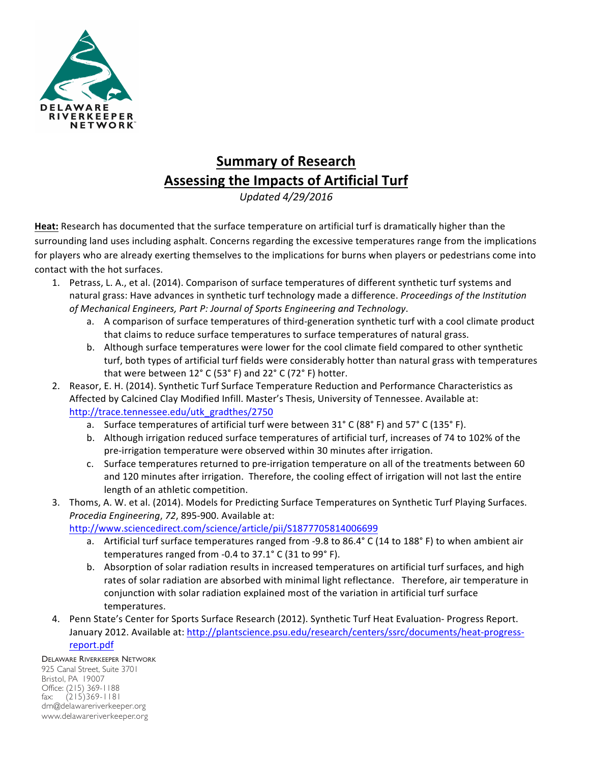

## **Summary of Research Assessing the Impacts of Artificial Turf**

*Updated 4/29/2016*

**Heat:** Research has documented that the surface temperature on artificial turf is dramatically higher than the surrounding land uses including asphalt. Concerns regarding the excessive temperatures range from the implications for players who are already exerting themselves to the implications for burns when players or pedestrians come into contact with the hot surfaces.

- 1. Petrass, L. A., et al. (2014). Comparison of surface temperatures of different synthetic turf systems and natural grass: Have advances in synthetic turf technology made a difference. *Proceedings of the Institution* of Mechanical Engineers, Part P: Journal of Sports Engineering and Technology.
	- a. A comparison of surface temperatures of third-generation synthetic turf with a cool climate product that claims to reduce surface temperatures to surface temperatures of natural grass.
	- b. Although surface temperatures were lower for the cool climate field compared to other synthetic turf, both types of artificial turf fields were considerably hotter than natural grass with temperatures that were between  $12^{\circ}$  C (53° F) and 22° C (72° F) hotter.
- 2. Reasor, E. H. (2014). Synthetic Turf Surface Temperature Reduction and Performance Characteristics as Affected by Calcined Clay Modified Infill. Master's Thesis, University of Tennessee. Available at: http://trace.tennessee.edu/utk\_gradthes/2750
	- a. Surface temperatures of artificial turf were between  $31^{\circ}$  C (88° F) and 57° C (135° F).
	- b. Although irrigation reduced surface temperatures of artificial turf, increases of 74 to 102% of the pre-irrigation temperature were observed within 30 minutes after irrigation.
	- c. Surface temperatures returned to pre-irrigation temperature on all of the treatments between 60 and 120 minutes after irrigation. Therefore, the cooling effect of irrigation will not last the entire length of an athletic competition.
- 3. Thoms, A. W. et al. (2014). Models for Predicting Surface Temperatures on Synthetic Turf Playing Surfaces. *Procedia Engineering, 72, 895-900.* Available at:

http://www.sciencedirect.com/science/article/pii/S1877705814006699

- a. Artificial turf surface temperatures ranged from -9.8 to 86.4 $\degree$  C (14 to 188 $\degree$  F) to when ambient air temperatures ranged from  $-0.4$  to  $37.1^{\circ}$  C (31 to 99 $^{\circ}$  F).
- b. Absorption of solar radiation results in increased temperatures on artificial turf surfaces, and high rates of solar radiation are absorbed with minimal light reflectance. Therefore, air temperature in conjunction with solar radiation explained most of the variation in artificial turf surface temperatures.
- 4. Penn State's Center for Sports Surface Research (2012). Synthetic Turf Heat Evaluation- Progress Report. January 2012. Available at: http://plantscience.psu.edu/research/centers/ssrc/documents/heat-progressreport.pdf

DELAWARE RIVERKEEPER NETWORK 925 Canal Street, Suite 3701 Bristol, PA 19007 Office: (215) 369-1188 fax: (215)369-1181 drn@delawareriverkeeper.org www.delawareriverkeeper.org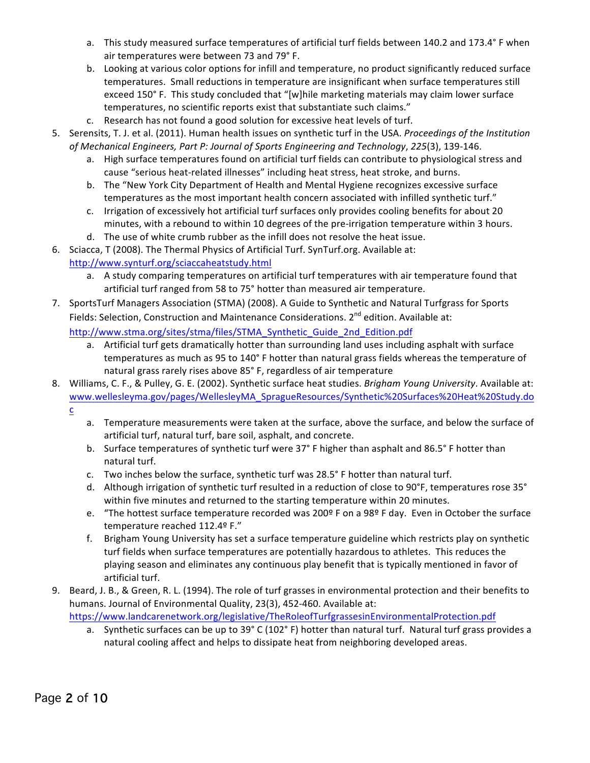- a. This study measured surface temperatures of artificial turf fields between 140.2 and 173.4° F when air temperatures were between 73 and 79° F.
- b. Looking at various color options for infill and temperature, no product significantly reduced surface temperatures. Small reductions in temperature are insignificant when surface temperatures still exceed 150° F. This study concluded that "[w]hile marketing materials may claim lower surface temperatures, no scientific reports exist that substantiate such claims."
- c. Research has not found a good solution for excessive heat levels of turf.
- 5. Serensits, T. J. et al. (2011). Human health issues on synthetic turf in the USA. *Proceedings of the Institution* of Mechanical Engineers, Part P: Journal of Sports Engineering and Technology, 225(3), 139-146.
	- a. High surface temperatures found on artificial turf fields can contribute to physiological stress and cause "serious heat-related illnesses" including heat stress, heat stroke, and burns.
	- b. The "New York City Department of Health and Mental Hygiene recognizes excessive surface temperatures as the most important health concern associated with infilled synthetic turf."
	- c. Irrigation of excessively hot artificial turf surfaces only provides cooling benefits for about 20 minutes, with a rebound to within 10 degrees of the pre-irrigation temperature within 3 hours.
	- d. The use of white crumb rubber as the infill does not resolve the heat issue.
- 6. Sciacca, T (2008). The Thermal Physics of Artificial Turf. SynTurf.org. Available at: http://www.synturf.org/sciaccaheatstudy.html
	- a. A study comparing temperatures on artificial turf temperatures with air temperature found that artificial turf ranged from 58 to 75° hotter than measured air temperature.
- 7. SportsTurf Managers Association (STMA) (2008). A Guide to Synthetic and Natural Turfgrass for Sports Fields: Selection, Construction and Maintenance Considerations. 2<sup>nd</sup> edition. Available at:

http://www.stma.org/sites/stma/files/STMA\_Synthetic\_Guide\_2nd\_Edition.pdf 

- a. Artificial turf gets dramatically hotter than surrounding land uses including asphalt with surface temperatures as much as 95 to 140° F hotter than natural grass fields whereas the temperature of natural grass rarely rises above 85° F, regardless of air temperature
- 8. Williams, C. F., & Pulley, G. E. (2002). Synthetic surface heat studies. *Brigham Young University*. Available at: www.wellesleyma.gov/pages/WellesleyMA\_SpragueResources/Synthetic%20Surfaces%20Heat%20Study.do c
	- a. Temperature measurements were taken at the surface, above the surface, and below the surface of artificial turf, natural turf, bare soil, asphalt, and concrete.
	- b. Surface temperatures of synthetic turf were 37° F higher than asphalt and 86.5° F hotter than natural turf.
	- c. Two inches below the surface, synthetic turf was 28.5° F hotter than natural turf.
	- d. Although irrigation of synthetic turf resulted in a reduction of close to 90°F, temperatures rose 35° within five minutes and returned to the starting temperature within 20 minutes.
	- e. "The hottest surface temperature recorded was 200º F on a 98º F day. Even in October the surface temperature reached 112.4º F."
	- f. Brigham Young University has set a surface temperature guideline which restricts play on synthetic turf fields when surface temperatures are potentially hazardous to athletes. This reduces the playing season and eliminates any continuous play benefit that is typically mentioned in favor of artificial turf.
- 9. Beard, J. B., & Green, R. L. (1994). The role of turf grasses in environmental protection and their benefits to humans. Journal of Environmental Quality, 23(3), 452-460. Available at:

https://www.landcarenetwork.org/legislative/TheRoleofTurfgrassesinEnvironmentalProtection.pdf

a. Synthetic surfaces can be up to 39° C (102° F) hotter than natural turf. Natural turf grass provides a natural cooling affect and helps to dissipate heat from neighboring developed areas.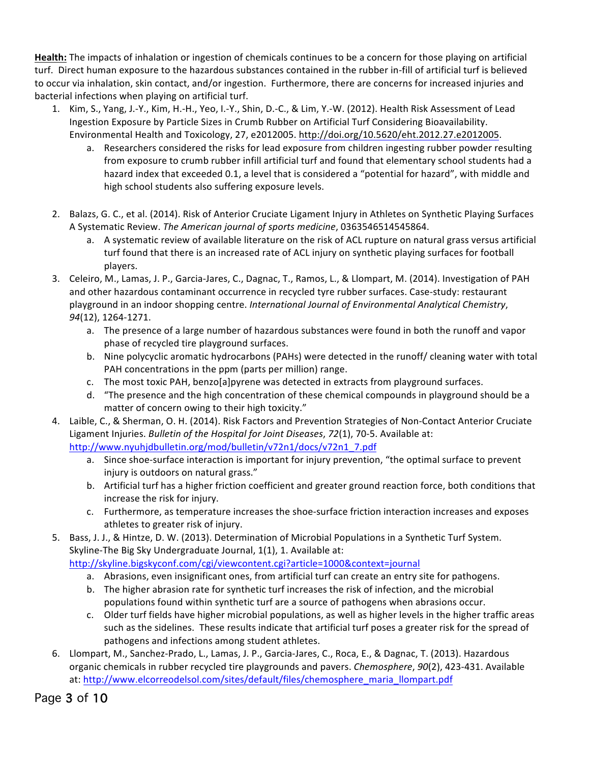Health: The impacts of inhalation or ingestion of chemicals continues to be a concern for those playing on artificial turf. Direct human exposure to the hazardous substances contained in the rubber in-fill of artificial turf is believed to occur via inhalation, skin contact, and/or ingestion. Furthermore, there are concerns for increased injuries and bacterial infections when playing on artificial turf.

- 1. Kim, S., Yang, J.-Y., Kim, H.-H., Yeo, I.-Y., Shin, D.-C., & Lim, Y.-W. (2012). Health Risk Assessment of Lead Ingestion Exposure by Particle Sizes in Crumb Rubber on Artificial Turf Considering Bioavailability. Environmental Health and Toxicology, 27, e2012005. http://doi.org/10.5620/eht.2012.27.e2012005.
	- a. Researchers considered the risks for lead exposure from children ingesting rubber powder resulting from exposure to crumb rubber infill artificial turf and found that elementary school students had a hazard index that exceeded 0.1, a level that is considered a "potential for hazard", with middle and high school students also suffering exposure levels.
- 2. Balazs, G. C., et al. (2014). Risk of Anterior Cruciate Ligament Injury in Athletes on Synthetic Playing Surfaces A Systematic Review. The American journal of sports medicine, 0363546514545864.
	- a. A systematic review of available literature on the risk of ACL rupture on natural grass versus artificial turf found that there is an increased rate of ACL injury on synthetic playing surfaces for football players.
- 3. Celeiro, M., Lamas, J. P., Garcia-Jares, C., Dagnac, T., Ramos, L., & Llompart, M. (2014). Investigation of PAH and other hazardous contaminant occurrence in recycled tyre rubber surfaces. Case-study: restaurant playground in an indoor shopping centre. *International Journal of Environmental Analytical Chemistry*, *94*(12), 1264-1271.
	- a. The presence of a large number of hazardous substances were found in both the runoff and vapor phase of recycled tire playground surfaces.
	- b. Nine polycyclic aromatic hydrocarbons (PAHs) were detected in the runoff/ cleaning water with total PAH concentrations in the ppm (parts per million) range.
	- c. The most toxic PAH, benzo[a]pyrene was detected in extracts from playground surfaces.
	- d. "The presence and the high concentration of these chemical compounds in playground should be a matter of concern owing to their high toxicity."
- 4. Laible, C., & Sherman, O. H. (2014). Risk Factors and Prevention Strategies of Non-Contact Anterior Cruciate Ligament Injuries. *Bulletin of the Hospital for Joint Diseases, 72(1), 70-5. Available at:* http://www.nyuhjdbulletin.org/mod/bulletin/v72n1/docs/v72n1\_7.pdf
	- a. Since shoe-surface interaction is important for injury prevention, "the optimal surface to prevent injury is outdoors on natural grass."
	- b. Artificial turf has a higher friction coefficient and greater ground reaction force, both conditions that increase the risk for injury.
	- c. Furthermore, as temperature increases the shoe-surface friction interaction increases and exposes athletes to greater risk of injury.
- 5. Bass, J. J., & Hintze, D. W. (2013). Determination of Microbial Populations in a Synthetic Turf System. Skyline-The Big Sky Undergraduate Journal, 1(1), 1. Available at: http://skyline.bigskyconf.com/cgi/viewcontent.cgi?article=1000&context=journal
	- a. Abrasions, even insignificant ones, from artificial turf can create an entry site for pathogens.
	- b. The higher abrasion rate for synthetic turf increases the risk of infection, and the microbial populations found within synthetic turf are a source of pathogens when abrasions occur.
	- c. Older turf fields have higher microbial populations, as well as higher levels in the higher traffic areas such as the sidelines. These results indicate that artificial turf poses a greater risk for the spread of pathogens and infections among student athletes.
- 6. Llompart, M., Sanchez-Prado, L., Lamas, J. P., Garcia-Jares, C., Roca, E., & Dagnac, T. (2013). Hazardous organic chemicals in rubber recycled tire playgrounds and pavers. *Chemosphere*, *90*(2), 423-431. Available at: http://www.elcorreodelsol.com/sites/default/files/chemosphere\_maria\_llompart.pdf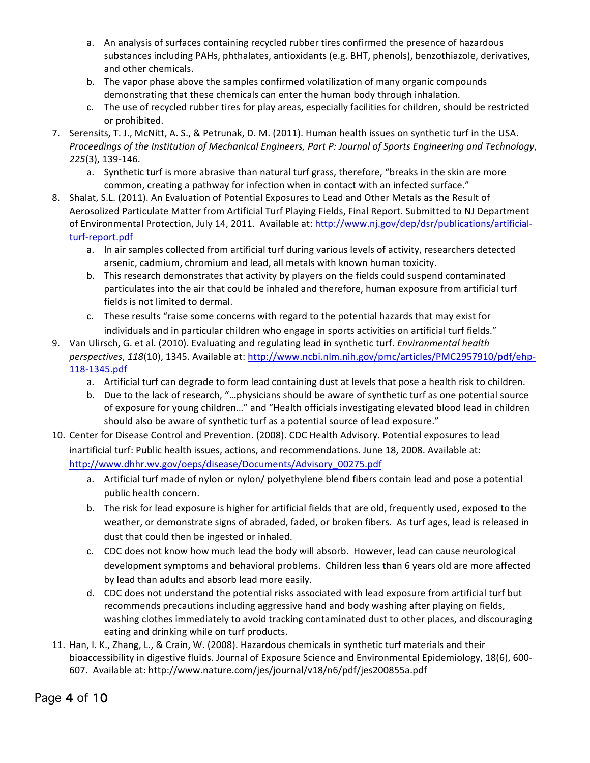- a. An analysis of surfaces containing recycled rubber tires confirmed the presence of hazardous substances including PAHs, phthalates, antioxidants (e.g. BHT, phenols), benzothiazole, derivatives, and other chemicals.
- b. The vapor phase above the samples confirmed volatilization of many organic compounds demonstrating that these chemicals can enter the human body through inhalation.
- c. The use of recycled rubber tires for play areas, especially facilities for children, should be restricted or prohibited.
- 7. Serensits, T. J., McNitt, A. S., & Petrunak, D. M. (2011). Human health issues on synthetic turf in the USA. *Proceedings of the Institution of Mechanical Engineers, Part P: Journal of Sports Engineering and Technology, 225*(3), 139-146.
	- a. Synthetic turf is more abrasive than natural turf grass, therefore, "breaks in the skin are more common, creating a pathway for infection when in contact with an infected surface."
- 8. Shalat, S.L. (2011). An Evaluation of Potential Exposures to Lead and Other Metals as the Result of Aerosolized Particulate Matter from Artificial Turf Playing Fields, Final Report. Submitted to NJ Department of Environmental Protection, July 14, 2011. Available at: http://www.nj.gov/dep/dsr/publications/artificialturf-report.pdf
	- a. In air samples collected from artificial turf during various levels of activity, researchers detected arsenic, cadmium, chromium and lead, all metals with known human toxicity.
	- b. This research demonstrates that activity by players on the fields could suspend contaminated particulates into the air that could be inhaled and therefore, human exposure from artificial turf fields is not limited to dermal.
	- c. These results "raise some concerns with regard to the potential hazards that may exist for individuals and in particular children who engage in sports activities on artificial turf fields."
- 9. Van Ulirsch, G. et al. (2010). Evaluating and regulating lead in synthetic turf. *Environmental health perspectives*, 118(10), 1345. Available at: http://www.ncbi.nlm.nih.gov/pmc/articles/PMC2957910/pdf/ehp-118-1345.pdf
	- a. Artificial turf can degrade to form lead containing dust at levels that pose a health risk to children.
	- b. Due to the lack of research, "...physicians should be aware of synthetic turf as one potential source of exposure for young children..." and "Health officials investigating elevated blood lead in children should also be aware of synthetic turf as a potential source of lead exposure."
- 10. Center for Disease Control and Prevention. (2008). CDC Health Advisory. Potential exposures to lead inartificial turf: Public health issues, actions, and recommendations. June 18, 2008. Available at: http://www.dhhr.wv.gov/oeps/disease/Documents/Advisory\_00275.pdf
	- a. Artificial turf made of nylon or nylon/ polyethylene blend fibers contain lead and pose a potential public health concern.
	- b. The risk for lead exposure is higher for artificial fields that are old, frequently used, exposed to the weather, or demonstrate signs of abraded, faded, or broken fibers. As turf ages, lead is released in dust that could then be ingested or inhaled.
	- c. CDC does not know how much lead the body will absorb. However, lead can cause neurological development symptoms and behavioral problems. Children less than 6 years old are more affected by lead than adults and absorb lead more easily.
	- d. CDC does not understand the potential risks associated with lead exposure from artificial turf but recommends precautions including aggressive hand and body washing after playing on fields, washing clothes immediately to avoid tracking contaminated dust to other places, and discouraging eating and drinking while on turf products.
- 11. Han, I. K., Zhang, L., & Crain, W. (2008). Hazardous chemicals in synthetic turf materials and their bioaccessibility in digestive fluids. Journal of Exposure Science and Environmental Epidemiology, 18(6), 600-607. Available at: http://www.nature.com/jes/journal/v18/n6/pdf/jes200855a.pdf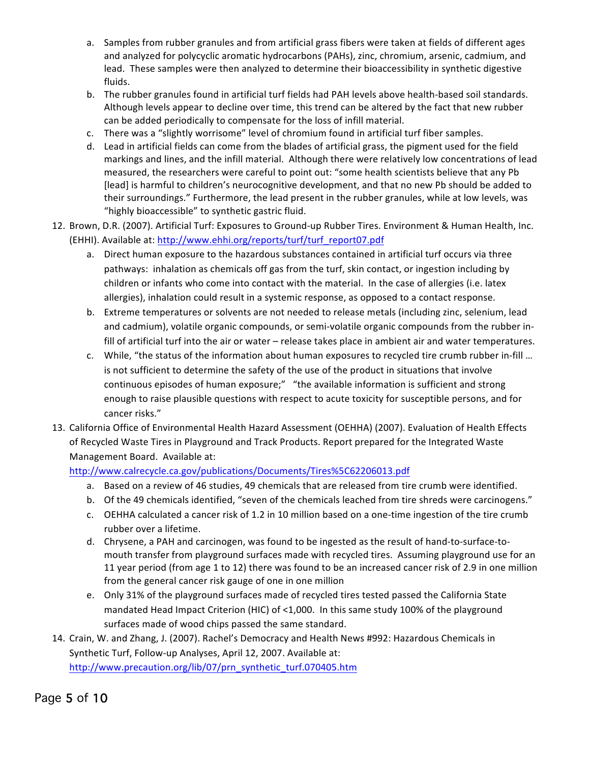- a. Samples from rubber granules and from artificial grass fibers were taken at fields of different ages and analyzed for polycyclic aromatic hydrocarbons (PAHs), zinc, chromium, arsenic, cadmium, and lead. These samples were then analyzed to determine their bioaccessibility in synthetic digestive fluids.
- b. The rubber granules found in artificial turf fields had PAH levels above health-based soil standards. Although levels appear to decline over time, this trend can be altered by the fact that new rubber can be added periodically to compensate for the loss of infill material.
- c. There was a "slightly worrisome" level of chromium found in artificial turf fiber samples.
- d. Lead in artificial fields can come from the blades of artificial grass, the pigment used for the field markings and lines, and the infill material. Although there were relatively low concentrations of lead measured, the researchers were careful to point out: "some health scientists believe that any Pb [lead] is harmful to children's neurocognitive development, and that no new Pb should be added to their surroundings." Furthermore, the lead present in the rubber granules, while at low levels, was "highly bioaccessible" to synthetic gastric fluid.
- 12. Brown, D.R. (2007). Artificial Turf: Exposures to Ground-up Rubber Tires. Environment & Human Health, Inc. (EHHI). Available at: http://www.ehhi.org/reports/turf/turf\_report07.pdf
	- a. Direct human exposure to the hazardous substances contained in artificial turf occurs via three pathways: inhalation as chemicals off gas from the turf, skin contact, or ingestion including by children or infants who come into contact with the material. In the case of allergies (i.e. latex allergies), inhalation could result in a systemic response, as opposed to a contact response.
	- b. Extreme temperatures or solvents are not needed to release metals (including zinc, selenium, lead and cadmium), volatile organic compounds, or semi-volatile organic compounds from the rubber infill of artificial turf into the air or water – release takes place in ambient air and water temperatures.
	- c. While, "the status of the information about human exposures to recycled tire crumb rubber in-fill ... is not sufficient to determine the safety of the use of the product in situations that involve continuous episodes of human exposure;" "the available information is sufficient and strong enough to raise plausible questions with respect to acute toxicity for susceptible persons, and for cancer risks."
- 13. California Office of Environmental Health Hazard Assessment (OEHHA) (2007). Evaluation of Health Effects of Recycled Waste Tires in Playground and Track Products. Report prepared for the Integrated Waste Management Board. Available at:

http://www.calrecycle.ca.gov/publications/Documents/Tires%5C62206013.pdf

- a. Based on a review of 46 studies, 49 chemicals that are released from tire crumb were identified.
- b. Of the 49 chemicals identified, "seven of the chemicals leached from tire shreds were carcinogens."
- c. OEHHA calculated a cancer risk of 1.2 in 10 million based on a one-time ingestion of the tire crumb rubber over a lifetime.
- d. Chrysene, a PAH and carcinogen, was found to be ingested as the result of hand-to-surface-tomouth transfer from playground surfaces made with recycled tires. Assuming playground use for an 11 year period (from age 1 to 12) there was found to be an increased cancer risk of 2.9 in one million from the general cancer risk gauge of one in one million
- e. Only 31% of the playground surfaces made of recycled tires tested passed the California State mandated Head Impact Criterion (HIC) of <1,000. In this same study 100% of the playground surfaces made of wood chips passed the same standard.
- 14. Crain, W. and Zhang, J. (2007). Rachel's Democracy and Health News #992: Hazardous Chemicals in Synthetic Turf, Follow-up Analyses, April 12, 2007. Available at: http://www.precaution.org/lib/07/prn\_synthetic\_turf.070405.htm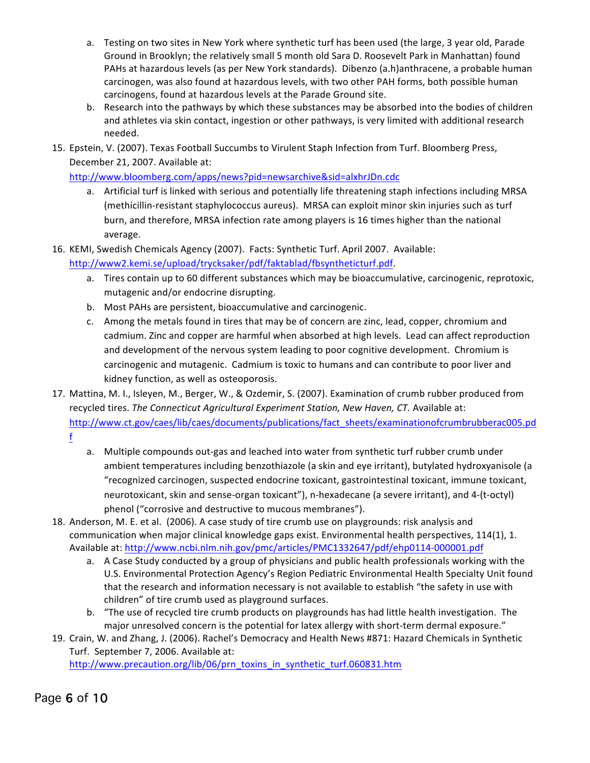- a. Testing on two sites in New York where synthetic turf has been used (the large, 3 year old, Parade Ground in Brooklyn; the relatively small 5 month old Sara D. Roosevelt Park in Manhattan) found PAHs at hazardous levels (as per New York standards). Dibenzo (a.h)anthracene, a probable human carcinogen, was also found at hazardous levels, with two other PAH forms, both possible human carcinogens, found at hazardous levels at the Parade Ground site.
- b. Research into the pathways by which these substances may be absorbed into the bodies of children and athletes via skin contact, ingestion or other pathways, is very limited with additional research needed.
- 15. Epstein, V. (2007). Texas Football Succumbs to Virulent Staph Infection from Turf. Bloomberg Press, December 21, 2007. Available at:

http://www.bloomberg.com/apps/news?pid=newsarchive&sid=alxhrJDn.cdc

- a. Artificial turf is linked with serious and potentially life threatening staph infections including MRSA (methicillin-resistant staphylococcus aureus). MRSA can exploit minor skin injuries such as turf burn, and therefore, MRSA infection rate among players is 16 times higher than the national average.
- 16. KEMI, Swedish Chemicals Agency (2007). Facts: Synthetic Turf. April 2007. Available:

http://www2.kemi.se/upload/trycksaker/pdf/faktablad/fbsyntheticturf.pdf. 

- a. Tires contain up to 60 different substances which may be bioaccumulative, carcinogenic, reprotoxic, mutagenic and/or endocrine disrupting.
- b. Most PAHs are persistent, bioaccumulative and carcinogenic.
- c. Among the metals found in tires that may be of concern are zinc, lead, copper, chromium and cadmium. Zinc and copper are harmful when absorbed at high levels. Lead can affect reproduction and development of the nervous system leading to poor cognitive development. Chromium is carcinogenic and mutagenic. Cadmium is toxic to humans and can contribute to poor liver and kidney function, as well as osteoporosis.
- 17. Mattina, M. I., Isleyen, M., Berger, W., & Ozdemir, S. (2007). Examination of crumb rubber produced from recycled tires. The Connecticut Agricultural Experiment Station, New Haven, CT. Available at: http://www.ct.gov/caes/lib/caes/documents/publications/fact\_sheets/examinationofcrumbrubberac005.pd f
	- a. Multiple compounds out-gas and leached into water from synthetic turf rubber crumb under ambient temperatures including benzothiazole (a skin and eye irritant), butylated hydroxyanisole (a "recognized carcinogen, suspected endocrine toxicant, gastrointestinal toxicant, immune toxicant, neurotoxicant, skin and sense-organ toxicant"), n-hexadecane (a severe irritant), and 4-(t-octyl) phenol ("corrosive and destructive to mucous membranes").
- 18. Anderson, M. E. et al. (2006). A case study of tire crumb use on playgrounds: risk analysis and communication when major clinical knowledge gaps exist. Environmental health perspectives, 114(1), 1. Available at: http://www.ncbi.nlm.nih.gov/pmc/articles/PMC1332647/pdf/ehp0114-000001.pdf
	- a. A Case Study conducted by a group of physicians and public health professionals working with the U.S. Environmental Protection Agency's Region Pediatric Environmental Health Specialty Unit found that the research and information necessary is not available to establish "the safety in use with children" of tire crumb used as playground surfaces.
	- b. "The use of recycled tire crumb products on playgrounds has had little health investigation. The major unresolved concern is the potential for latex allergy with short-term dermal exposure."
- 19. Crain, W. and Zhang, J. (2006). Rachel's Democracy and Health News #871: Hazard Chemicals in Synthetic Turf. September 7, 2006. Available at:

http://www.precaution.org/lib/06/prn\_toxins\_in\_synthetic\_turf.060831.htm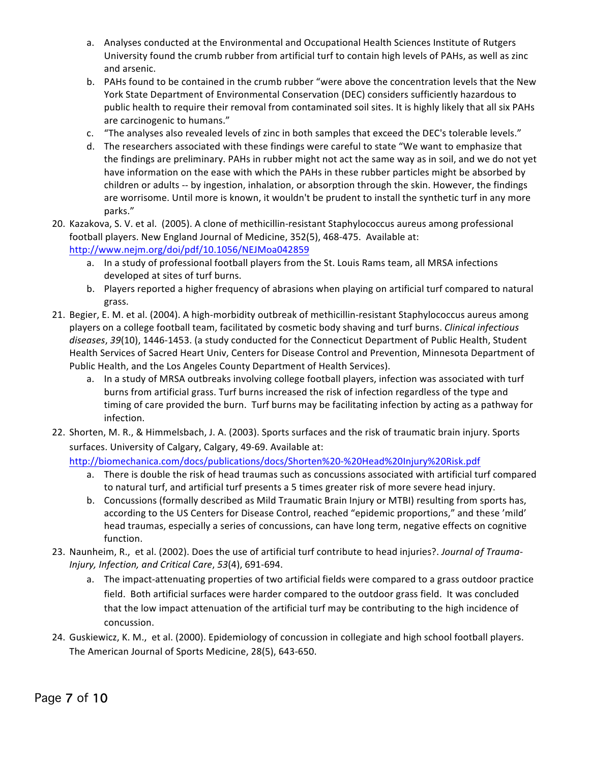- a. Analyses conducted at the Environmental and Occupational Health Sciences Institute of Rutgers University found the crumb rubber from artificial turf to contain high levels of PAHs, as well as zinc and arsenic.
- b. PAHs found to be contained in the crumb rubber "were above the concentration levels that the New York State Department of Environmental Conservation (DEC) considers sufficiently hazardous to public health to require their removal from contaminated soil sites. It is highly likely that all six PAHs are carcinogenic to humans."
- c. "The analyses also revealed levels of zinc in both samples that exceed the DEC's tolerable levels."
- d. The researchers associated with these findings were careful to state "We want to emphasize that the findings are preliminary. PAHs in rubber might not act the same way as in soil, and we do not yet have information on the ease with which the PAHs in these rubber particles might be absorbed by children or adults -- by ingestion, inhalation, or absorption through the skin. However, the findings are worrisome. Until more is known, it wouldn't be prudent to install the synthetic turf in any more parks."
- 20. Kazakova, S. V. et al. (2005). A clone of methicillin-resistant Staphylococcus aureus among professional football players. New England Journal of Medicine, 352(5), 468-475. Available at: http://www.nejm.org/doi/pdf/10.1056/NEJMoa042859
	- a. In a study of professional football players from the St. Louis Rams team, all MRSA infections developed at sites of turf burns.
	- b. Players reported a higher frequency of abrasions when playing on artificial turf compared to natural grass.
- 21. Begier, E. M. et al. (2004). A high-morbidity outbreak of methicillin-resistant Staphylococcus aureus among players on a college football team, facilitated by cosmetic body shaving and turf burns. *Clinical infectious* diseases, 39(10), 1446-1453. (a study conducted for the Connecticut Department of Public Health, Student Health Services of Sacred Heart Univ, Centers for Disease Control and Prevention, Minnesota Department of Public Health, and the Los Angeles County Department of Health Services).
	- a. In a study of MRSA outbreaks involving college football players, infection was associated with turf burns from artificial grass. Turf burns increased the risk of infection regardless of the type and timing of care provided the burn. Turf burns may be facilitating infection by acting as a pathway for infection.
- 22. Shorten, M. R., & Himmelsbach, J. A. (2003). Sports surfaces and the risk of traumatic brain injury. Sports surfaces. University of Calgary, Calgary, 49-69. Available at:

http://biomechanica.com/docs/publications/docs/Shorten%20-%20Head%20Injury%20Risk.pdf 

- a. There is double the risk of head traumas such as concussions associated with artificial turf compared to natural turf, and artificial turf presents a 5 times greater risk of more severe head injury.
- b. Concussions (formally described as Mild Traumatic Brain Injury or MTBI) resulting from sports has, according to the US Centers for Disease Control, reached "epidemic proportions," and these 'mild' head traumas, especially a series of concussions, can have long term, negative effects on cognitive function.
- 23. Naunheim, R., et al. (2002). Does the use of artificial turf contribute to head injuries?. *Journal of Trauma-Injury, Infection, and Critical Care*, *53*(4), 691-694.
	- a. The impact-attenuating properties of two artificial fields were compared to a grass outdoor practice field. Both artificial surfaces were harder compared to the outdoor grass field. It was concluded that the low impact attenuation of the artificial turf may be contributing to the high incidence of concussion.
- 24. Guskiewicz, K. M., et al. (2000). Epidemiology of concussion in collegiate and high school football players. The American Journal of Sports Medicine, 28(5), 643-650.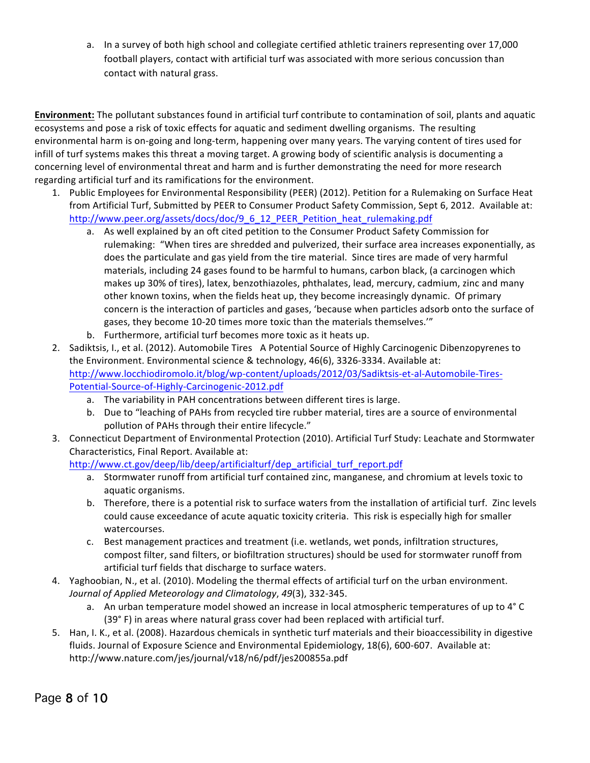a. In a survey of both high school and collegiate certified athletic trainers representing over 17,000 football players, contact with artificial turf was associated with more serious concussion than contact with natural grass.

**Environment:** The pollutant substances found in artificial turf contribute to contamination of soil, plants and aquatic ecosystems and pose a risk of toxic effects for aquatic and sediment dwelling organisms. The resulting environmental harm is on-going and long-term, happening over many years. The varying content of tires used for infill of turf systems makes this threat a moving target. A growing body of scientific analysis is documenting a concerning level of environmental threat and harm and is further demonstrating the need for more research regarding artificial turf and its ramifications for the environment.

- 1. Public Employees for Environmental Responsibility (PEER) (2012). Petition for a Rulemaking on Surface Heat from Artificial Turf, Submitted by PEER to Consumer Product Safety Commission, Sept 6, 2012. Available at: http://www.peer.org/assets/docs/doc/9\_6\_12\_PEER\_Petition\_heat\_rulemaking.pdf
	- a. As well explained by an oft cited petition to the Consumer Product Safety Commission for rulemaking: "When tires are shredded and pulverized, their surface area increases exponentially, as does the particulate and gas yield from the tire material. Since tires are made of very harmful materials, including 24 gases found to be harmful to humans, carbon black, (a carcinogen which makes up 30% of tires), latex, benzothiazoles, phthalates, lead, mercury, cadmium, zinc and many other known toxins, when the fields heat up, they become increasingly dynamic. Of primary concern is the interaction of particles and gases, 'because when particles adsorb onto the surface of gases, they become 10-20 times more toxic than the materials themselves.""
	- b. Furthermore, artificial turf becomes more toxic as it heats up.
- 2. Sadiktsis, I., et al. (2012). Automobile Tires A Potential Source of Highly Carcinogenic Dibenzopyrenes to the Environment. Environmental science & technology,  $46(6)$ , 3326-3334. Available at: http://www.locchiodiromolo.it/blog/wp-content/uploads/2012/03/Sadiktsis-et-al-Automobile-Tires-Potential-Source-of-Highly-Carcinogenic-2012.pdf
	- a. The variability in PAH concentrations between different tires is large.
	- b. Due to "leaching of PAHs from recycled tire rubber material, tires are a source of environmental pollution of PAHs through their entire lifecycle."
- 3. Connecticut Department of Environmental Protection (2010). Artificial Turf Study: Leachate and Stormwater Characteristics, Final Report. Available at:

http://www.ct.gov/deep/lib/deep/artificialturf/dep\_artificial\_turf\_report.pdf

- a. Stormwater runoff from artificial turf contained zinc, manganese, and chromium at levels toxic to aquatic organisms.
- b. Therefore, there is a potential risk to surface waters from the installation of artificial turf. Zinc levels could cause exceedance of acute aquatic toxicity criteria. This risk is especially high for smaller watercourses.
- c. Best management practices and treatment (i.e. wetlands, wet ponds, infiltration structures, compost filter, sand filters, or biofiltration structures) should be used for stormwater runoff from artificial turf fields that discharge to surface waters.
- 4. Yaghoobian, N., et al. (2010). Modeling the thermal effects of artificial turf on the urban environment. *Journal of Applied Meteorology and Climatology*, *49*(3), 332-345.
	- a. An urban temperature model showed an increase in local atmospheric temperatures of up to  $4^{\circ}$  C (39° F) in areas where natural grass cover had been replaced with artificial turf.
- 5. Han, I. K., et al. (2008). Hazardous chemicals in synthetic turf materials and their bioaccessibility in digestive fluids. Journal of Exposure Science and Environmental Epidemiology, 18(6), 600-607. Available at: http://www.nature.com/jes/journal/v18/n6/pdf/jes200855a.pdf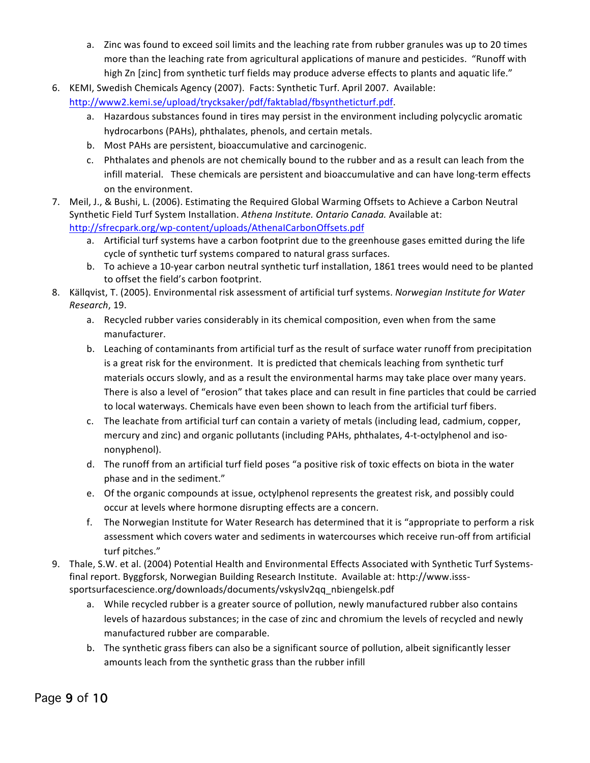- a. Zinc was found to exceed soil limits and the leaching rate from rubber granules was up to 20 times more than the leaching rate from agricultural applications of manure and pesticides. "Runoff with high Zn [zinc] from synthetic turf fields may produce adverse effects to plants and aquatic life."
- 6. KEMI, Swedish Chemicals Agency (2007). Facts: Synthetic Turf. April 2007. Available: http://www2.kemi.se/upload/trycksaker/pdf/faktablad/fbsyntheticturf.pdf.
	- a. Hazardous substances found in tires may persist in the environment including polycyclic aromatic hydrocarbons (PAHs), phthalates, phenols, and certain metals.
	- b. Most PAHs are persistent, bioaccumulative and carcinogenic.
	- c. Phthalates and phenols are not chemically bound to the rubber and as a result can leach from the infill material. These chemicals are persistent and bioaccumulative and can have long-term effects on the environment.
- 7. Meil, J., & Bushi, L. (2006). Estimating the Required Global Warming Offsets to Achieve a Carbon Neutral Synthetic Field Turf System Installation. Athena Institute. Ontario Canada. Available at: http://sfrecpark.org/wp-content/uploads/AthenaICarbonOffsets.pdf
	- a. Artificial turf systems have a carbon footprint due to the greenhouse gases emitted during the life cycle of synthetic turf systems compared to natural grass surfaces.
	- b. To achieve a 10-year carbon neutral synthetic turf installation, 1861 trees would need to be planted to offset the field's carbon footprint.
- 8. Källgvist, T. (2005). Environmental risk assessment of artificial turf systems. *Norwegian Institute for Water Research*, 19.
	- a. Recycled rubber varies considerably in its chemical composition, even when from the same manufacturer.
	- b. Leaching of contaminants from artificial turf as the result of surface water runoff from precipitation is a great risk for the environment. It is predicted that chemicals leaching from synthetic turf materials occurs slowly, and as a result the environmental harms may take place over many years. There is also a level of "erosion" that takes place and can result in fine particles that could be carried to local waterways. Chemicals have even been shown to leach from the artificial turf fibers.
	- c. The leachate from artificial turf can contain a variety of metals (including lead, cadmium, copper, mercury and zinc) and organic pollutants (including PAHs, phthalates, 4-t-octylphenol and isononyphenol).
	- d. The runoff from an artificial turf field poses "a positive risk of toxic effects on biota in the water phase and in the sediment."
	- e. Of the organic compounds at issue, octylphenol represents the greatest risk, and possibly could occur at levels where hormone disrupting effects are a concern.
	- f. The Norwegian Institute for Water Research has determined that it is "appropriate to perform a risk assessment which covers water and sediments in watercourses which receive run-off from artificial turf pitches."
- 9. Thale, S.W. et al. (2004) Potential Health and Environmental Effects Associated with Synthetic Turf Systemsfinal report. Byggforsk, Norwegian Building Research Institute. Available at: http://www.issssportsurfacescience.org/downloads/documents/vskyslv2qq\_nbiengelsk.pdf
	- a. While recycled rubber is a greater source of pollution, newly manufactured rubber also contains levels of hazardous substances; in the case of zinc and chromium the levels of recycled and newly manufactured rubber are comparable.
	- b. The synthetic grass fibers can also be a significant source of pollution, albeit significantly lesser amounts leach from the synthetic grass than the rubber infill